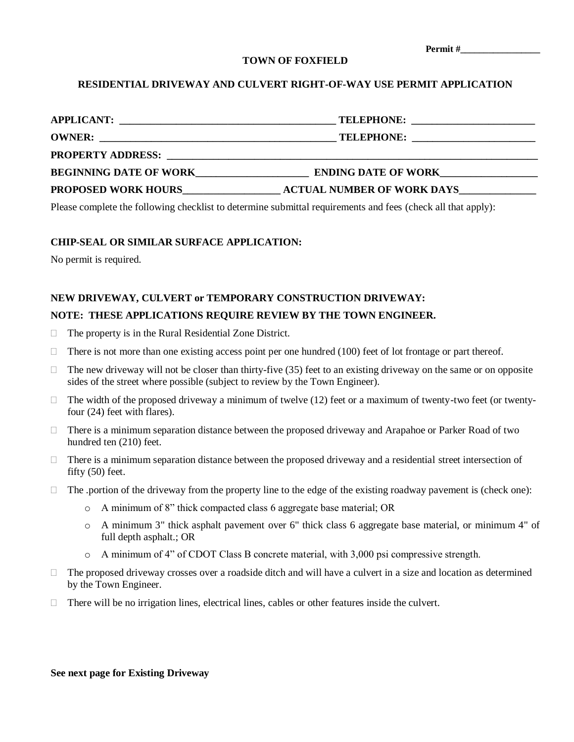| Permit# |  |
|---------|--|
|---------|--|

#### **TOWN OF FOXFIELD**

# **RESIDENTIAL DRIVEWAY AND CULVERT RIGHT-OF-WAY USE PERMIT APPLICATION**

| <b>APPLICANT:</b><br><u> 1980 - John Stein, markin film fan de ferstjer fan de ferstjer fan de ferstjer fan de ferstjer fan de ferstj</u> |                                   |
|-------------------------------------------------------------------------------------------------------------------------------------------|-----------------------------------|
|                                                                                                                                           |                                   |
| <b>PROPERTY ADDRESS:</b>                                                                                                                  |                                   |
| <b>BEGINNING DATE OF WORK</b>                                                                                                             | <b>ENDING DATE OF WORK</b>        |
| <b>PROPOSED WORK HOURS</b>                                                                                                                | <b>ACTUAL NUMBER OF WORK DAYS</b> |

Please complete the following checklist to determine submittal requirements and fees (check all that apply):

# **CHIP-SEAL OR SIMILAR SURFACE APPLICATION:**

No permit is required.

### **NEW DRIVEWAY, CULVERT or TEMPORARY CONSTRUCTION DRIVEWAY:**

### **NOTE: THESE APPLICATIONS REQUIRE REVIEW BY THE TOWN ENGINEER.**

- The property is in the Rural Residential Zone District.
- There is not more than one existing access point per one hundred  $(100)$  feet of lot frontage or part thereof.
- $\Box$  The new driveway will not be closer than thirty-five (35) feet to an existing driveway on the same or on opposite sides of the street where possible (subject to review by the Town Engineer).
- $\Box$  The width of the proposed driveway a minimum of twelve (12) feet or a maximum of twenty-two feet (or twentyfour (24) feet with flares).
- $\Box$  There is a minimum separation distance between the proposed driveway and Arapahoe or Parker Road of two hundred ten (210) feet.
- $\Box$  There is a minimum separation distance between the proposed driveway and a residential street intersection of fifty (50) feet.
- $\Box$  The .portion of the driveway from the property line to the edge of the existing roadway pavement is (check one):
	- o A minimum of 8" thick compacted class 6 aggregate base material; OR
	- o A minimum 3" thick asphalt pavement over 6" thick class 6 aggregate base material, or minimum 4" of full depth asphalt.; OR
	- o A minimum of 4" of CDOT Class B concrete material, with 3,000 psi compressive strength.
- $\Box$  The proposed driveway crosses over a roadside ditch and will have a culvert in a size and location as determined by the Town Engineer.
- $\Box$  There will be no irrigation lines, electrical lines, cables or other features inside the culvert.